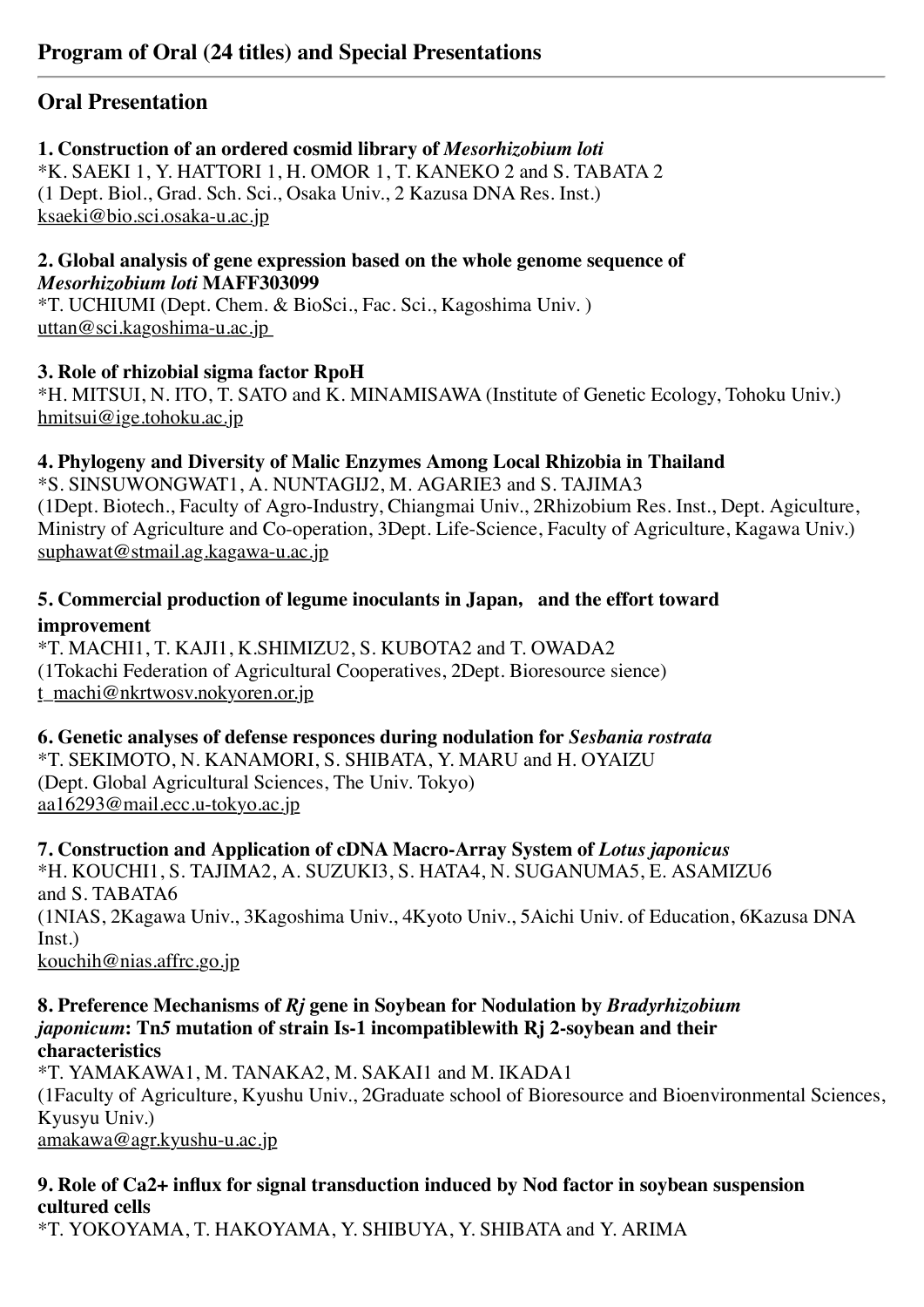### **Oral Presentation**

#### **1. Construction of an ordered cosmid library of** *Mesorhizobium loti*

\*K. SAEKI 1, Y. HATTORI 1, H. OMOR 1, T. KANEKO 2 and S. TABATA 2 (1 Dept. Biol., Grad. Sch. Sci., Osaka Univ., 2 Kazusa DNA Res. Inst.) ksaeki@bio.sci.osaka-u.ac.jp

**2. Global analysis of gene expression based on the whole genome sequence of** *Mesorhizobium loti* **MAFF303099**

\*T. UCHIUMI (Dept. Chem. & BioSci., Fac. Sci., Kagoshima Univ. ) uttan@sci.kagoshima-u.ac.jp

#### **3. Role of rhizobial sigma factor RpoH**

\*H. MITSUI, N. ITO, T. SATO and K. MINAMISAWA (Institute of Genetic Ecology, Tohoku Univ.) hmitsui@ige.tohoku.ac.jp

#### **4. Phylogeny and Diversity of Malic Enzymes Among Local Rhizobia in Thailand**

\*S. SINSUWONGWAT1, A. NUNTAGIJ2, M. AGARIE3 and S. TAJIMA3 (1Dept. Biotech., Faculty of Agro-Industry, Chiangmai Univ., 2Rhizobium Res. Inst., Dept. Agiculture, Ministry of Agriculture and Co-operation, 3Dept. Life-Science, Faculty of Agriculture, Kagawa Univ.) suphawat@stmail.ag.kagawa-u.ac.jp

#### **5. Commercial production of legume inoculants in Japan**,**and the effort toward improvement**

\*T. MACHI1, T. KAJI1, K.SHIMIZU2, S. KUBOTA2 and T. OWADA2 (1Tokachi Federation of Agricultural Cooperatives, 2Dept. Bioresource sience) t\_machi@nkrtwosv.nokyoren.or.jp

**6. Genetic analyses of defense responces during nodulation for** *Sesbania rostrata* \*T. SEKIMOTO, N. KANAMORI, S. SHIBATA, Y. MARU and H. OYAIZU (Dept. Global Agricultural Sciences, The Univ. Tokyo) aa16293@mail.ecc.u-tokyo.ac.jp

**7. Construction and Application of cDNA Macro-Array System of** *Lotus japonicus* \*H. KOUCHI1, S. TAJIMA2, A. SUZUKI3, S. HATA4, N. SUGANUMA5, E. ASAMIZU6 and S. TABATA6 (1NIAS, 2Kagawa Univ., 3Kagoshima Univ., 4Kyoto Univ., 5Aichi Univ. of Education, 6Kazusa DNA Inst.) kouchih@nias.affrc.go.jp

#### **8. Preference Mechanisms of** *Rj* **gene in Soybean for Nodulation by** *Bradyrhizobium japonicum***: Tn***5* **mutation of strain Is-1 incompatiblewith Rj 2-soybean and their characteristics**

\*T. YAMAKAWA1, M. TANAKA2, M. SAKAI1 and M. IKADA1 (1Faculty of Agriculture, Kyushu Univ., 2Graduate school of Bioresource and Bioenvironmental Sciences, Kyusyu Univ.) amakawa@agr.kyushu-u.ac.jp

#### **9. Role of Ca2+ influx for signal transduction induced by Nod factor in soybean suspension cultured cells**

\*T. YOKOYAMA, T. HAKOYAMA, Y. SHIBUYA, Y. SHIBATA and Y. ARIMA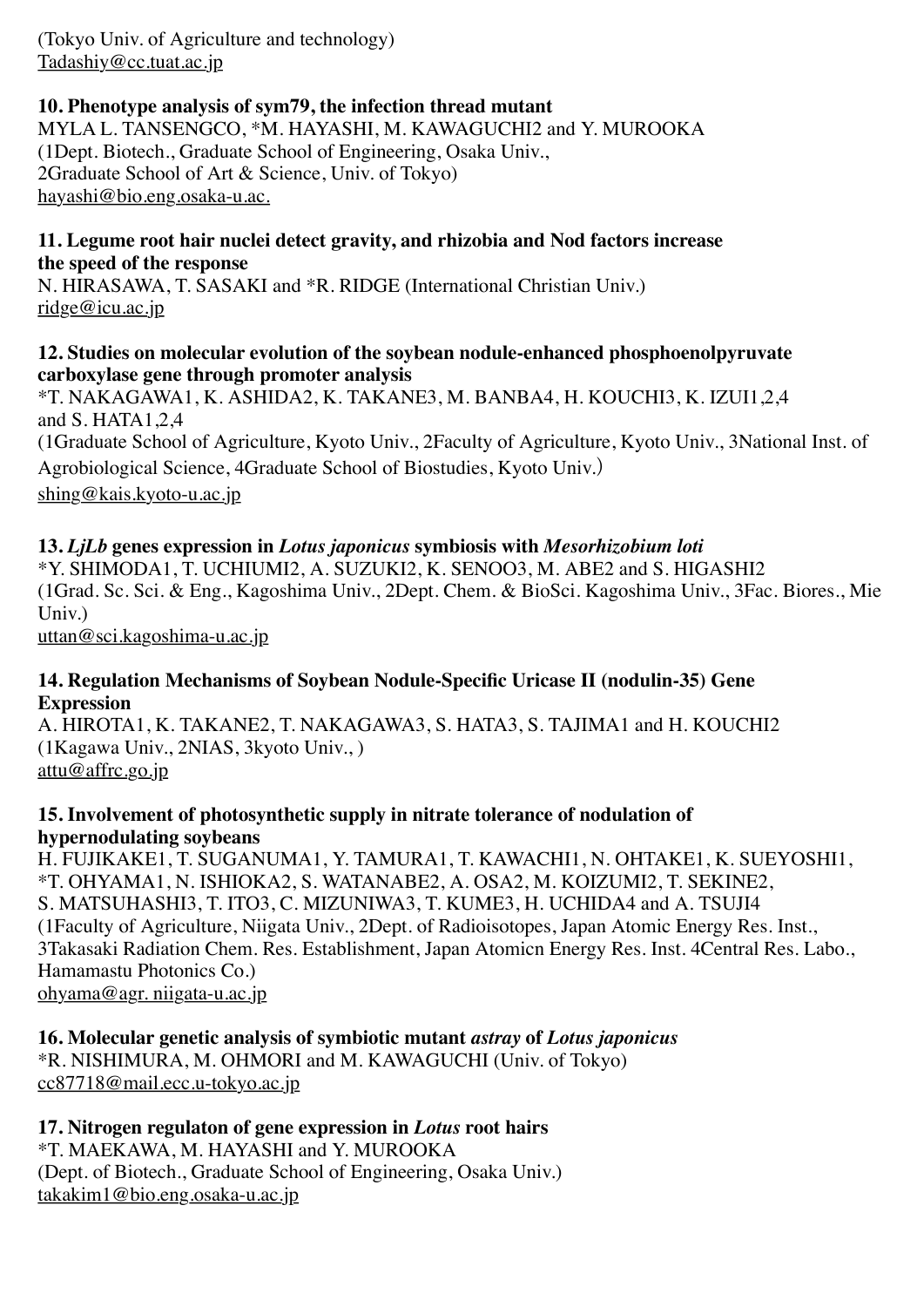(Tokyo Univ. of Agriculture and technology) Tadashiy@cc.tuat.ac.jp

#### **10. Phenotype analysis of sym79, the infection thread mutant**

MYLA L. TANSENGCO, \*M. HAYASHI, M. KAWAGUCHI2 and Y. MUROOKA (1Dept. Biotech., Graduate School of Engineering, Osaka Univ., 2Graduate School of Art & Science, Univ. of Tokyo) hayashi@bio.eng.osaka-u.ac.

#### **11. Legume root hair nuclei detect gravity, and rhizobia and Nod factors increase the speed of the response**

N. HIRASAWA, T. SASAKI and \*R. RIDGE (International Christian Univ.) ridge@icu.ac.jp

#### **12. Studies on molecular evolution of the soybean nodule-enhanced phosphoenolpyruvate carboxylase gene through promoter analysis**

\*T. NAKAGAWA1, K. ASHIDA2, K. TAKANE3, M. BANBA4, H. KOUCHI3, K. IZUI1,2,4 and S. HATA1,2,4 (1Graduate School of Agriculture, Kyoto Univ., 2Faculty of Agriculture, Kyoto Univ., 3National Inst. of Agrobiological Science, 4Graduate School of Biostudies, Kyoto Univ.) shing@kais.kyoto-u.ac.jp

#### **13.** *LjLb* **genes expression in** *Lotus japonicus* **symbiosis with** *Mesorhizobium loti*

\*Y. SHIMODA1, T. UCHIUMI2, A. SUZUKI2, K. SENOO3, M. ABE2 and S. HIGASHI2 (1Grad. Sc. Sci. & Eng., Kagoshima Univ., 2Dept. Chem. & BioSci. Kagoshima Univ., 3Fac. Biores., Mie Univ.)

uttan@sci.kagoshima-u.ac.jp

#### **14. Regulation Mechanisms of Soybean Nodule-Specific Uricase II (nodulin-35) Gene Expression**

A. HIROTA1, K. TAKANE2, T. NAKAGAWA3, S. HATA3, S. TAJIMA1 and H. KOUCHI2 (1Kagawa Univ., 2NIAS, 3kyoto Univ., ) attu@affrc.go.jp

#### **15. Involvement of photosynthetic supply in nitrate tolerance of nodulation of hypernodulating soybeans**

H. FUJIKAKE1, T. SUGANUMA1, Y. TAMURA1, T. KAWACHI1, N. OHTAKE1, K. SUEYOSHI1, \*T. OHYAMA1, N. ISHIOKA2, S. WATANABE2, A. OSA2, M. KOIZUMI2, T. SEKINE2, S. MATSUHASHI3, T. ITO3, C. MIZUNIWA3, T. KUME3, H. UCHIDA4 and A. TSUJI4 (1Faculty of Agriculture, Niigata Univ., 2Dept. of Radioisotopes, Japan Atomic Energy Res. Inst., 3Takasaki Radiation Chem. Res. Establishment, Japan Atomicn Energy Res. Inst. 4Central Res. Labo., Hamamastu Photonics Co.) ohyama@agr. niigata-u.ac.jp

**16. Molecular genetic analysis of symbiotic mutant** *astray* **of** *Lotus japonicus* \*R. NISHIMURA, M. OHMORI and M. KAWAGUCHI (Univ. of Tokyo) cc87718@mail.ecc.u-tokyo.ac.jp

#### **17. Nitrogen regulaton of gene expression in** *Lotus* **root hairs**

\*T. MAEKAWA, M. HAYASHI and Y. MUROOKA (Dept. of Biotech., Graduate School of Engineering, Osaka Univ.) takakim1@bio.eng.osaka-u.ac.jp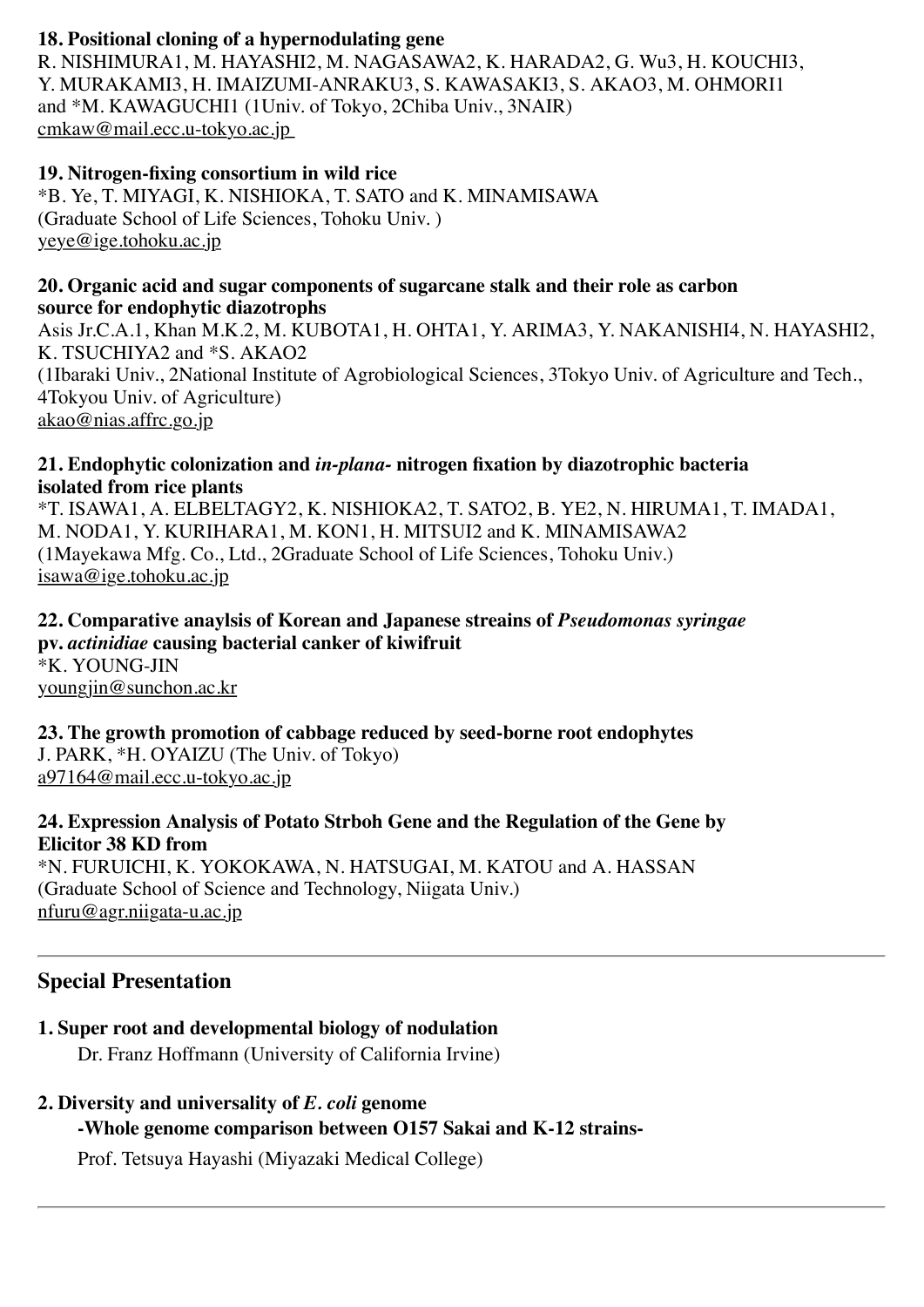#### **18. Positional cloning of a hypernodulating gene**

R. NISHIMURA1, M. HAYASHI2, M. NAGASAWA2, K. HARADA2, G. Wu3, H. KOUCHI3, Y. MURAKAMI3, H. IMAIZUMI-ANRAKU3, S. KAWASAKI3, S. AKAO3, M. OHMORI1 and \*M. KAWAGUCHI1 (1Univ. of Tokyo, 2Chiba Univ., 3NAIR) cmkaw@mail.ecc.u-tokyo.ac.jp

#### **19. Nitrogen-fixing consortium in wild rice**

\*B. Ye, T. MIYAGI, K. NISHIOKA, T. SATO and K. MINAMISAWA (Graduate School of Life Sciences, Tohoku Univ. ) yeye@ige.tohoku.ac.jp

#### **20. Organic acid and sugar components of sugarcane stalk and their role as carbon source for endophytic diazotrophs**

Asis Jr.C.A.1, Khan M.K.2, M. KUBOTA1, H. OHTA1, Y. ARIMA3, Y. NAKANISHI4, N. HAYASHI2, K. TSUCHIYA2 and \*S. AKAO2 (1Ibaraki Univ., 2National Institute of Agrobiological Sciences, 3Tokyo Univ. of Agriculture and Tech., 4Tokyou Univ. of Agriculture) akao@nias.affrc.go.jp

#### **21. Endophytic colonization and** *in-plana-* **nitrogen fixation by diazotrophic bacteria isolated from rice plants**

\*T. ISAWA1, A. ELBELTAGY2, K. NISHIOKA2, T. SATO2, B. YE2, N. HIRUMA1, T. IMADA1, M. NODA1, Y. KURIHARA1, M. KON1, H. MITSUI2 and K. MINAMISAWA2 (1Mayekawa Mfg. Co., Ltd., 2Graduate School of Life Sciences, Tohoku Univ.) isawa@ige.tohoku.ac.jp

#### **22. Comparative anaylsis of Korean and Japanese streains of** *Pseudomonas syringae*  **pv.** *actinidiae* **causing bacterial canker of kiwifruit** \*K. YOUNG-JIN youngjin@sunchon.ac.kr

**23. The growth promotion of cabbage reduced by seed-borne root endophytes** J. PARK, \*H. OYAIZU (The Univ. of Tokyo) a97164@mail.ecc.u-tokyo.ac.jp

#### **24. Expression Analysis of Potato Strboh Gene and the Regulation of the Gene by Elicitor 38 KD from**

\*N. FURUICHI, K. YOKOKAWA, N. HATSUGAI, M. KATOU and A. HASSAN (Graduate School of Science and Technology, Niigata Univ.) nfuru@agr.niigata-u.ac.jp

#### **Special Presentation**

## **1. Super root and developmental biology of nodulation**

Dr. Franz Hoffmann (University of California Irvine)

# **2. Diversity and universality of** *E. coli* **genome**

**-Whole genome comparison between O157 Sakai and K-12 strains-**

Prof. Tetsuya Hayashi (Miyazaki Medical College)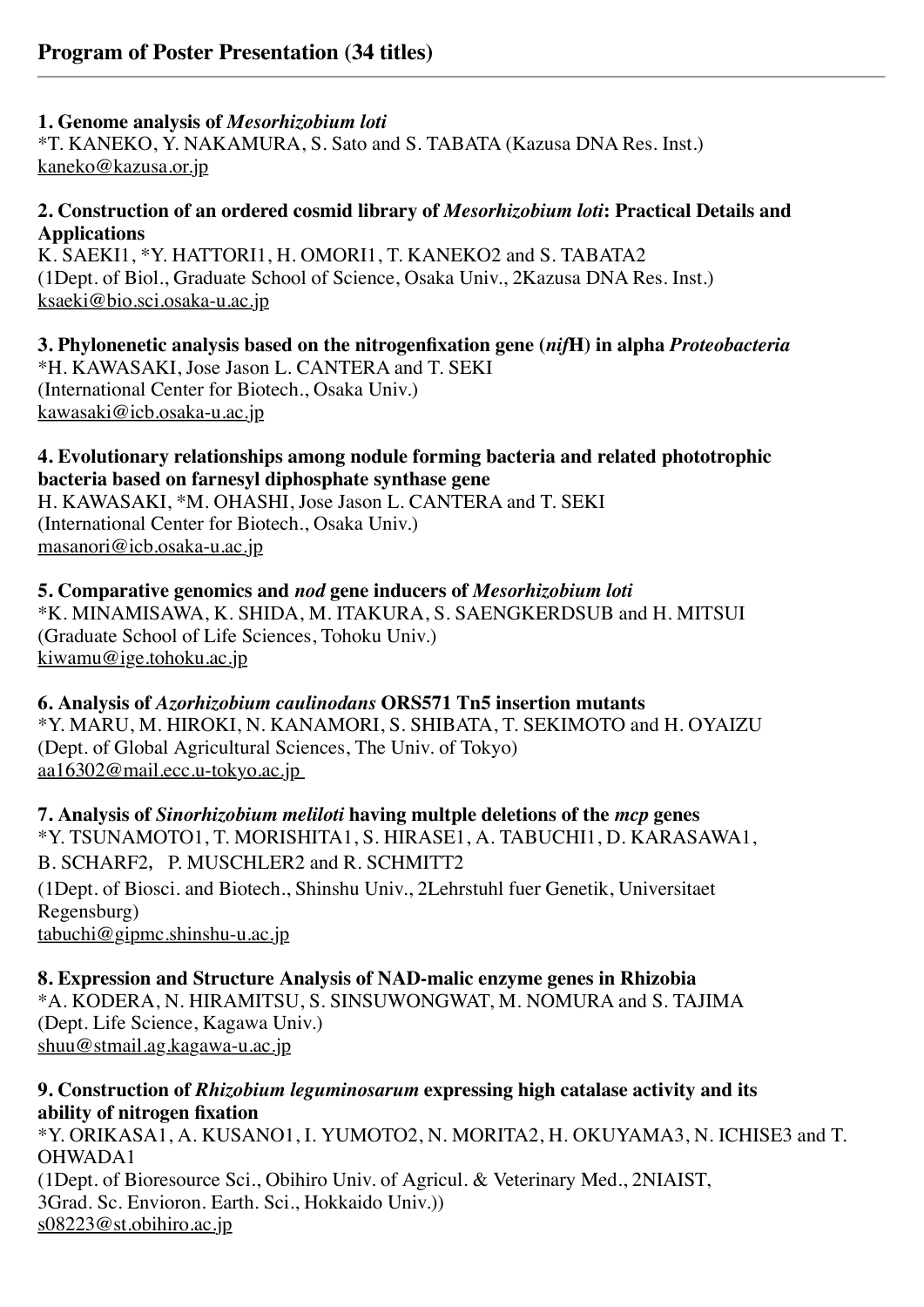#### **1. Genome analysis of** *Mesorhizobium loti*

\*T. KANEKO, Y. NAKAMURA, S. Sato and S. TABATA (Kazusa DNA Res. Inst.) kaneko@kazusa.or.jp

#### **2. Construction of an ordered cosmid library of** *Mesorhizobium loti***: Practical Details and Applications**

K. SAEKI1, \*Y. HATTORI1, H. OMORI1, T. KANEKO2 and S. TABATA2 (1Dept. of Biol., Graduate School of Science, Osaka Univ., 2Kazusa DNA Res. Inst.) ksaeki@bio.sci.osaka-u.ac.jp

**3. Phylonenetic analysis based on the nitrogenfixation gene (***nif***H) in alpha** *Proteobacteria* \*H. KAWASAKI, Jose Jason L. CANTERA and T. SEKI (International Center for Biotech., Osaka Univ.) kawasaki@icb.osaka-u.ac.jp

#### **4. Evolutionary relationships among nodule forming bacteria and related phototrophic bacteria based on farnesyl diphosphate synthase gene**

H. KAWASAKI, \*M. OHASHI, Jose Jason L. CANTERA and T. SEKI (International Center for Biotech., Osaka Univ.) masanori@icb.osaka-u.ac.jp

#### **5. Comparative genomics and** *nod* **gene inducers of** *Mesorhizobium loti* \*K. MINAMISAWA, K. SHIDA, M. ITAKURA, S. SAENGKERDSUB and H. MITSUI (Graduate School of Life Sciences, Tohoku Univ.) kiwamu@ige.tohoku.ac.jp

**6. Analysis of** *Azorhizobium caulinodans* **ORS571 Tn5 insertion mutants** \*Y. MARU, M. HIROKI, N. KANAMORI, S. SHIBATA, T. SEKIMOTO and H. OYAIZU (Dept. of Global Agricultural Sciences, The Univ. of Tokyo) aa16302@mail.ecc.u-tokyo.ac.jp

**7. Analysis of** *Sinorhizobium meliloti* **having multple deletions of the** *mcp* **genes** \*Y. TSUNAMOTO1, T. MORISHITA1, S. HIRASE1, A. TABUCHI1, D. KARASAWA1, B. SCHARF2, P. MUSCHLER2 and R. SCHMITT2 (1Dept. of Biosci. and Biotech., Shinshu Univ., 2Lehrstuhl fuer Genetik, Universitaet Regensburg) tabuchi@gipmc.shinshu-u.ac.jp

**8. Expression and Structure Analysis of NAD-malic enzyme genes in Rhizobia** \*A. KODERA, N. HIRAMITSU, S. SINSUWONGWAT, M. NOMURA and S. TAJIMA (Dept. Life Science, Kagawa Univ.) shuu@stmail.ag.kagawa-u.ac.jp

#### **9. Construction of** *Rhizobium leguminosarum* **expressing high catalase activity and its ability of nitrogen fixation**

\*Y. ORIKASA1, A. KUSANO1, I. YUMOTO2, N. MORITA2, H. OKUYAMA3, N. ICHISE3 and T. OHWADA1 (1Dept. of Bioresource Sci., Obihiro Univ. of Agricul. & Veterinary Med., 2NIAIST, 3Grad. Sc. Envioron. Earth. Sci., Hokkaido Univ.)) s08223@st.obihiro.ac.jp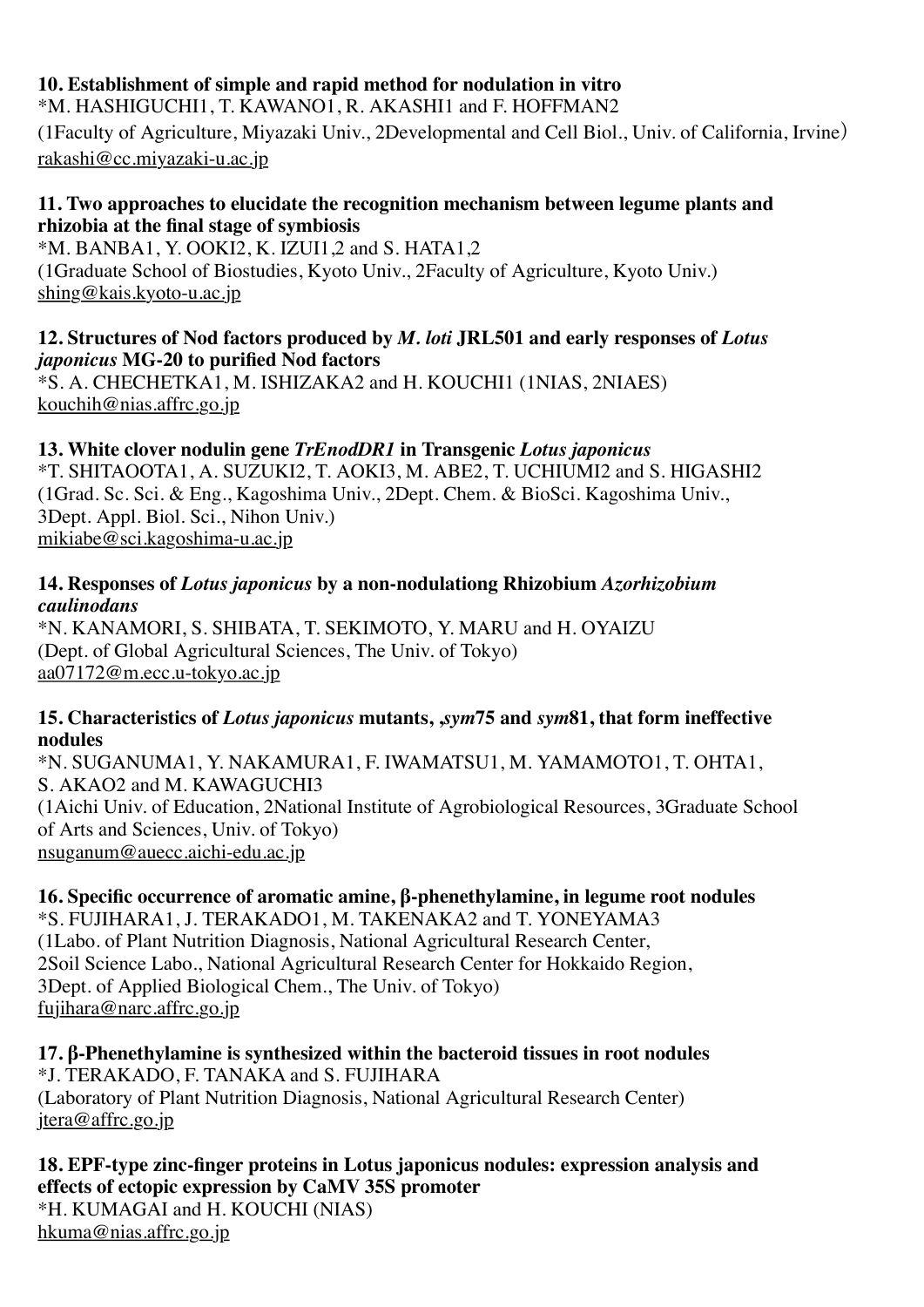### **10. Establishment of simple and rapid method for nodulation in vitro**

\*M. HASHIGUCHI1, T. KAWANO1, R. AKASHI1 and F. HOFFMAN2

(1Faculty of Agriculture, Miyazaki Univ., 2Developmental and Cell Biol., Univ. of California, Irvine) rakashi@cc.miyazaki-u.ac.jp

#### **11. Two approaches to elucidate the recognition mechanism between legume plants and rhizobia at the final stage of symbiosis**

\*M. BANBA1, Y. OOKI2, K. IZUI1,2 and S. HATA1,2 (1Graduate School of Biostudies, Kyoto Univ., 2Faculty of Agriculture, Kyoto Univ.) shing@kais.kyoto-u.ac.jp

#### **12. Structures of Nod factors produced by** *M. loti* **JRL501 and early responses of** *Lotus japonicus* **MG-20 to purified Nod factors**

\*S. A. CHECHETKA1, M. ISHIZAKA2 and H. KOUCHI1 (1NIAS, 2NIAES) kouchih@nias.affrc.go.jp

### **13. White clover nodulin gene** *TrEnodDR1* **in Transgenic** *Lotus japonicus*

\*T. SHITAOOTA1, A. SUZUKI2, T. AOKI3, M. ABE2, T. UCHIUMI2 and S. HIGASHI2 (1Grad. Sc. Sci. & Eng., Kagoshima Univ., 2Dept. Chem. & BioSci. Kagoshima Univ., 3Dept. Appl. Biol. Sci., Nihon Univ.) mikiabe@sci.kagoshima-u.ac.jp

#### **14. Responses of** *Lotus japonicus* **by a non-nodulationg Rhizobium** *Azorhizobium caulinodans*

\*N. KANAMORI, S. SHIBATA, T. SEKIMOTO, Y. MARU and H. OYAIZU (Dept. of Global Agricultural Sciences, The Univ. of Tokyo) aa07172@m.ecc.u-tokyo.ac.jp

#### **15. Characteristics of** *Lotus japonicus* **mutants, ,***sym***75 and** *sym***81, that form ineffective nodules**

\*N. SUGANUMA1, Y. NAKAMURA1, F. IWAMATSU1, M. YAMAMOTO1, T. OHTA1, S. AKAO2 and M. KAWAGUCHI3 (1Aichi Univ. of Education, 2National Institute of Agrobiological Resources, 3Graduate School of Arts and Sciences, Univ. of Tokyo) nsuganum@auecc.aichi-edu.ac.jp

## **16. Specific occurrence of aromatic amine, β-phenethylamine, in legume root nodules**

\*S. FUJIHARA1, J. TERAKADO1, M. TAKENAKA2 and T. YONEYAMA3 (1Labo. of Plant Nutrition Diagnosis, National Agricultural Research Center, 2Soil Science Labo., National Agricultural Research Center for Hokkaido Region, 3Dept. of Applied Biological Chem., The Univ. of Tokyo) fujihara@narc.affrc.go.jp

**17. β-Phenethylamine is synthesized within the bacteroid tissues in root nodules** \*J. TERAKADO, F. TANAKA and S. FUJIHARA (Laboratory of Plant Nutrition Diagnosis, National Agricultural Research Center) jtera@affrc.go.jp

#### **18. EPF-type zinc-finger proteins in Lotus japonicus nodules: expression analysis and effects of ectopic expression by CaMV 35S promoter** \*H. KUMAGAI and H. KOUCHI (NIAS) hkuma@nias.affrc.go.jp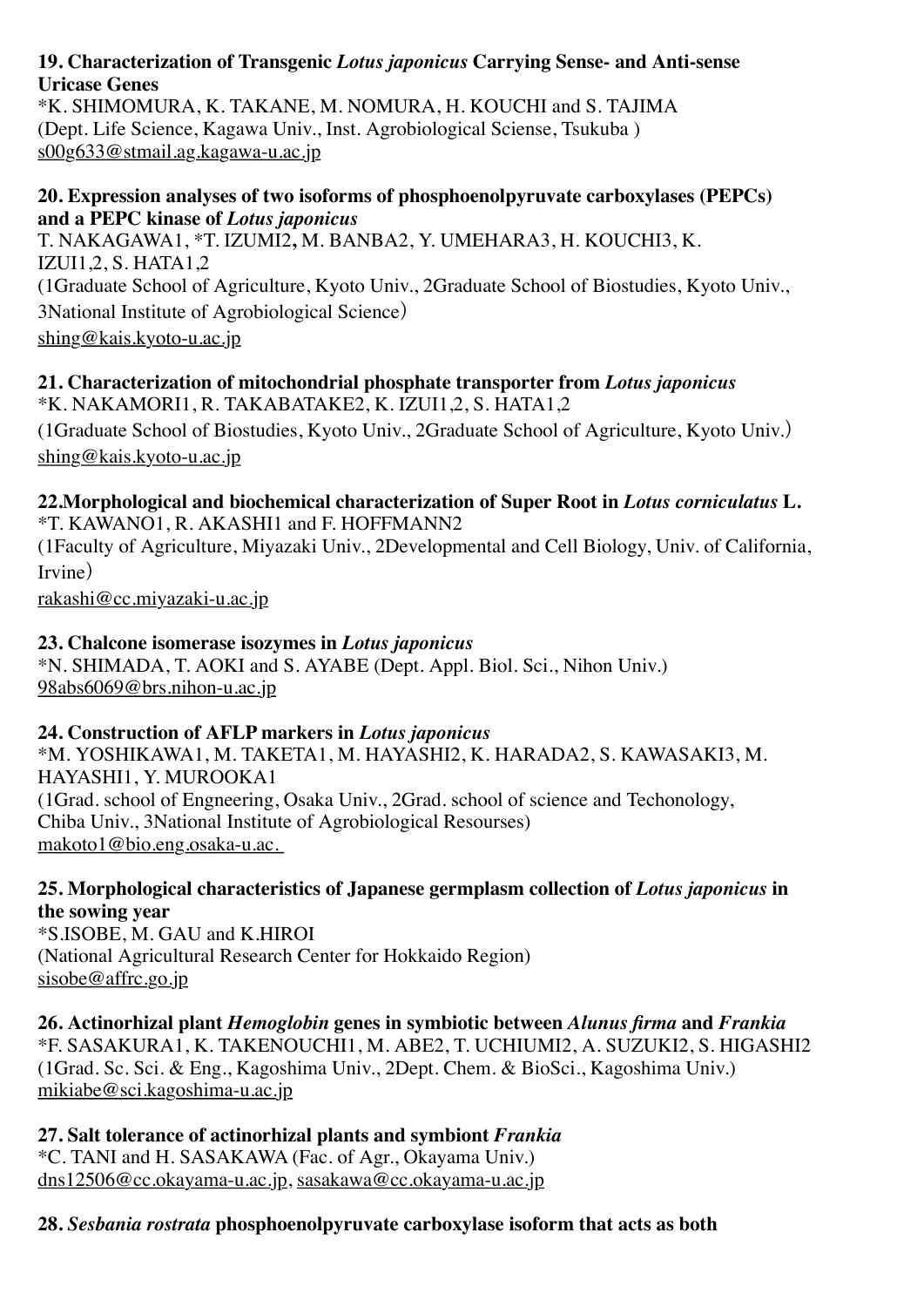#### **19. Characterization of Transgenic** *Lotus japonicus* **Carrying Sense- and Anti-sense Uricase Genes**

\*K. SHIMOMURA, K. TAKANE, M. NOMURA, H. KOUCHI and S. TAJIMA (Dept. Life Science, Kagawa Univ., Inst. Agrobiological Sciense, Tsukuba ) s00g633@stmail.ag.kagawa-u.ac.jp

#### **20. Expression analyses of two isoforms of phosphoenolpyruvate carboxylases (PEPCs) and a PEPC kinase of** *Lotus japonicus*

T. NAKAGAWA1, \*T. IZUMI2**,** M. BANBA2, Y. UMEHARA3, H. KOUCHI3, K. IZUI1,2, S. HATA1,2 (1Graduate School of Agriculture, Kyoto Univ., 2Graduate School of Biostudies, Kyoto Univ., 3National Institute of Agrobiological Science) shing@kais.kyoto-u.ac.jp

#### **21. Characterization of mitochondrial phosphate transporter from** *Lotus japonicus* \*K. NAKAMORI1, R. TAKABATAKE2, K. IZUI1,2, S. HATA1,2

(1Graduate School of Biostudies, Kyoto Univ., 2Graduate School of Agriculture, Kyoto Univ.) shing@kais.kyoto-u.ac.jp

## **22.Morphological and biochemical characterization of Super Root in** *Lotus corniculatus* **L.** \*T. KAWANO1, R. AKASHI1 and F. HOFFMANN2

(1Faculty of Agriculture, Miyazaki Univ., 2Developmental and Cell Biology, Univ. of California, Irvine)

rakashi@cc.miyazaki-u.ac.jp

## **23. Chalcone isomerase isozymes in** *Lotus japonicus*

\*N. SHIMADA, T. AOKI and S. AYABE (Dept. Appl. Biol. Sci., Nihon Univ.) 98abs6069@brs.nihon-u.ac.jp

### **24. Construction of AFLP markers in** *Lotus japonicus*

\*M. YOSHIKAWA1, M. TAKETA1, M. HAYASHI2, K. HARADA2, S. KAWASAKI3, M. HAYASHI1, Y. MUROOKA1 (1Grad. school of Engneering, Osaka Univ., 2Grad. school of science and Techonology, Chiba Univ., 3National Institute of Agrobiological Resourses) makoto1@bio.eng.osaka-u.ac.

#### **25. Morphological characteristics of Japanese germplasm collection of** *Lotus japonicus* **in the sowing year**

\*S.ISOBE, M. GAU and K.HIROI (National Agricultural Research Center for Hokkaido Region) sisobe@affrc.go.jp

**26. Actinorhizal plant** *Hemoglobin* **genes in symbiotic between** *Alunus firma* **and** *Frankia* \*F. SASAKURA1, K. TAKENOUCHI1, M. ABE2, T. UCHIUMI2, A. SUZUKI2, S. HIGASHI2 (1Grad. Sc. Sci. & Eng., Kagoshima Univ., 2Dept. Chem. & BioSci., Kagoshima Univ.) mikiabe@sci.kagoshima-u.ac.jp

# **27. Salt tolerance of actinorhizal plants and symbiont** *Frankia*

\*C. TANI and H. SASAKAWA (Fac. of Agr., Okayama Univ.) dns12506@cc.okayama-u.ac.jp, sasakawa@cc.okayama-u.ac.jp

## **28.** *Sesbania rostrata* **phosphoenolpyruvate carboxylase isoform that acts as both**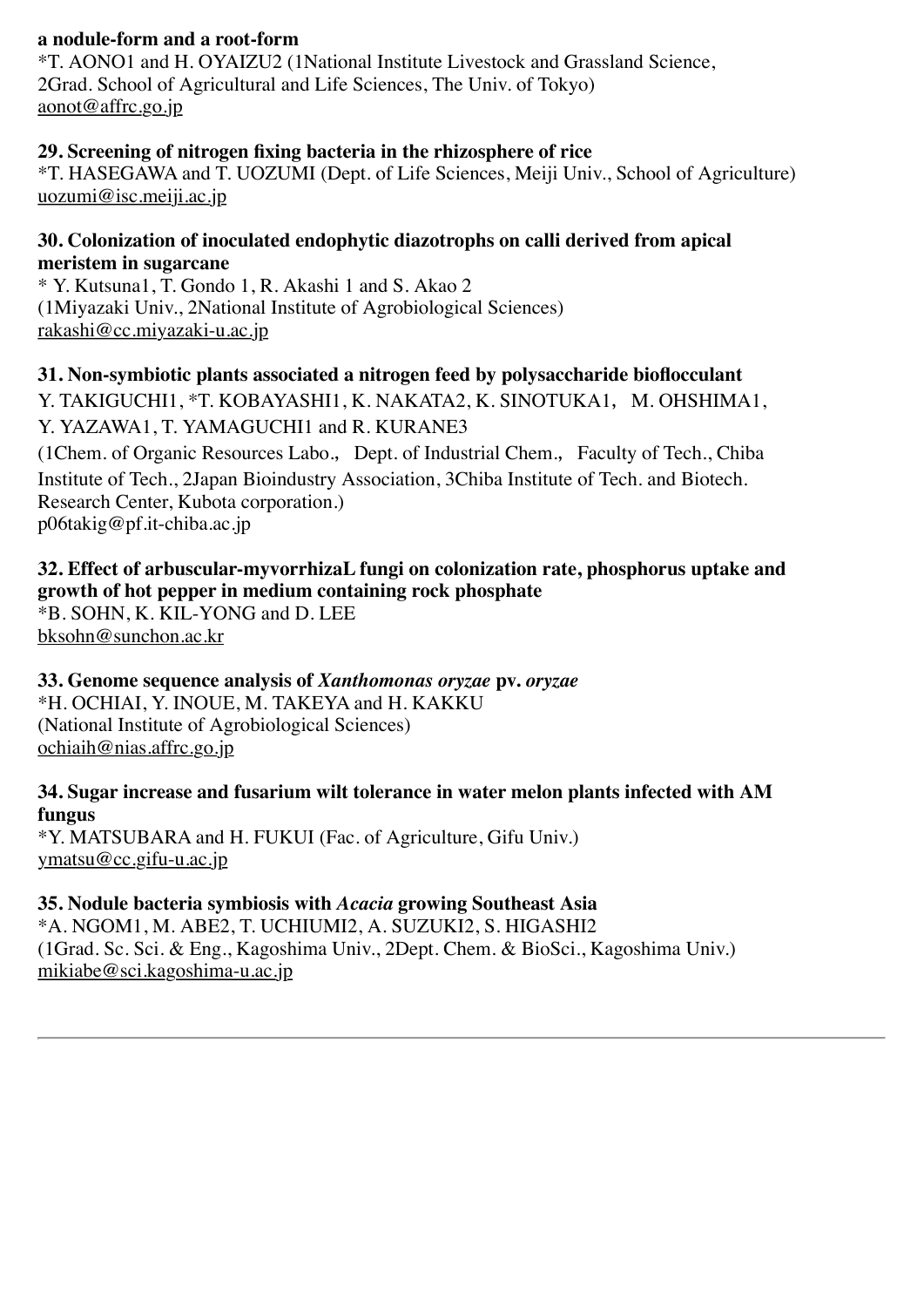#### **a nodule-form and a root-form**

\*T. AONO1 and H. OYAIZU2 (1National Institute Livestock and Grassland Science, 2Grad. School of Agricultural and Life Sciences, The Univ. of Tokyo) aonot@affrc.go.jp

#### **29. Screening of nitrogen fixing bacteria in the rhizosphere of rice**

\*T. HASEGAWA and T. UOZUMI (Dept. of Life Sciences, Meiji Univ., School of Agriculture) uozumi@isc.meiji.ac.jp

#### **30. Colonization of inoculated endophytic diazotrophs on calli derived from apical meristem in sugarcane**

\* Y. Kutsuna1, T. Gondo 1, R. Akashi 1 and S. Akao 2 (1Miyazaki Univ., 2National Institute of Agrobiological Sciences) rakashi@cc.miyazaki-u.ac.jp

**31. Non-symbiotic plants associated a nitrogen feed by polysaccharide bioflocculant** Y. TAKIGUCHI1, \*T. KOBAYASHI1, K. NAKATA2, K. SINOTUKA1, M. OHSHIMA1, Y. YAZAWA1, T. YAMAGUCHI1 and R. KURANE3 (1Chem. of Organic Resources Labo., Dept. of Industrial Chem., Faculty of Tech., Chiba

Institute of Tech., 2Japan Bioindustry Association, 3Chiba Institute of Tech. and Biotech. Research Center, Kubota corporation.) p06takig@pf.it-chiba.ac.jp

### **32. Effect of arbuscular-myvorrhizaL fungi on colonization rate, phosphorus uptake and growth of hot pepper in medium containing rock phosphate**

\*B. SOHN, K. KIL-YONG and D. LEE bksohn@sunchon.ac.kr

**33. Genome sequence analysis of** *Xanthomonas oryzae* **pv.** *oryzae* \*H. OCHIAI, Y. INOUE, M. TAKEYA and H. KAKKU (National Institute of Agrobiological Sciences) ochiaih@nias.affrc.go.jp

#### **34. Sugar increase and fusarium wilt tolerance in water melon plants infected with AM fungus**

\*Y. MATSUBARA and H. FUKUI (Fac. of Agriculture, Gifu Univ.) ymatsu@cc.gifu-u.ac.jp

#### **35. Nodule bacteria symbiosis with** *Acacia* **growing Southeast Asia**

\*A. NGOM1, M. ABE2, T. UCHIUMI2, A. SUZUKI2, S. HIGASHI2 (1Grad. Sc. Sci. & Eng., Kagoshima Univ., 2Dept. Chem. & BioSci., Kagoshima Univ.) mikiabe@sci.kagoshima-u.ac.jp